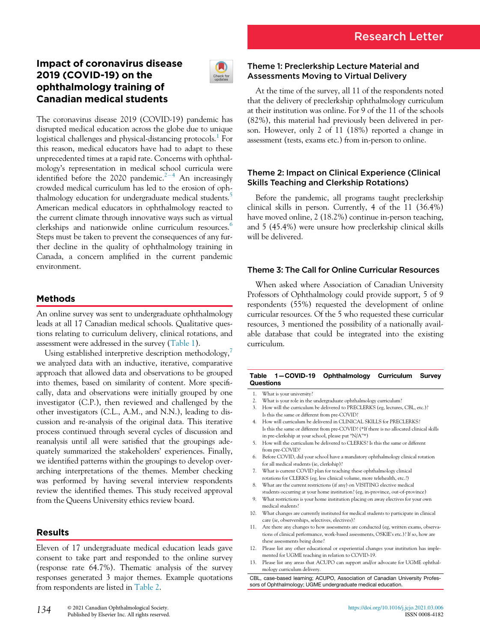# Impact of coronavirus disease 2019 (COVID-19) on the ophthalmology training of Canadian medical students



The coronavirus disease 2019 (COVID-19) pandemic has disrupted medical education across the globe due to unique logistical challenges and physical-distancing protocols.<sup>[1](#page-1-0)</sup> For this reason, medical educators have had to adapt to these unprecedented times at a rapid rate. Concerns with ophthalmology's representation in medical school curricula were identified before the [2](#page-1-1)020 pandemic.<sup>2-[4](#page-1-1)</sup> An increasingly crowded medical curriculum has led to the erosion of oph-thalmology education for undergraduate medical students.<sup>[5](#page-1-2)</sup> American medical educators in ophthalmology reacted to the current climate through innovative ways such as virtual clerkships and nationwide online curriculum resources.<sup>[6](#page-1-3)</sup> Steps must be taken to prevent the consequences of any further decline in the quality of ophthalmology training in Canada, a concern amplified in the current pandemic environment.

## Methods

An online survey was sent to undergraduate ophthalmology leads at all 17 Canadian medical schools. Qualitative questions relating to curriculum delivery, clinical rotations, and assessment were addressed in the survey ([Table 1](#page-0-0)).

<span id="page-0-0"></span>Using established interpretive description methodology,<sup>[7](#page-1-4)</sup> we analyzed data with an inductive, iterative, comparative approach that allowed data and observations to be grouped into themes, based on similarity of content. More specifically, data and observations were initially grouped by one investigator (C.P.), then reviewed and challenged by the other investigators (C.L., A.M., and N.N.), leading to discussion and re-analysis of the original data. This iterative process continued through several cycles of discussion and reanalysis until all were satisfied that the groupings adequately summarized the stakeholders' experiences. Finally, we identified patterns within the groupings to develop overarching interpretations of the themes. Member checking was performed by having several interview respondents review the identified themes. This study received approval from the Queens University ethics review board.

## Results

Eleven of 17 undergraduate medical education leads gave consent to take part and responded to the online survey (response rate 64.7%). Thematic analysis of the survey responses generated 3 major themes. Example quotations from respondents are listed in [Table 2](#page-1-5).

## Theme 1: Preclerkship Lecture Material and Assessments Moving to Virtual Delivery

At the time of the survey, all 11 of the respondents noted that the delivery of preclerkship ophthalmology curriculum at their institution was online. For 9 of the 11 of the schools (82%), this material had previously been delivered in person. However, only 2 of 11 (18%) reported a change in assessment (tests, exams etc.) from in-person to online.

### Theme 2: Impact on Clinical Experience (Clinical Skills Teaching and Clerkship Rotations)

Before the pandemic, all programs taught preclerkship clinical skills in person. Currently, 4 of the 11 (36.4%) have moved online, 2 (18.2%) continue in-person teaching, and 5 (45.4%) were unsure how preclerkship clinical skills will be delivered.

## Theme 3: The Call for Online Curricular Resources

When asked where Association of Canadian University Professors of Ophthalmology could provide support, 5 of 9 respondents (55%) requested the development of online curricular resources. Of the 5 who requested these curricular resources, 3 mentioned the possibility of a nationally available database that could be integrated into the existing curriculum.

#### Table 1—COVID-19 Ophthalmology Curriculum Survey **Questions**

1. What is your university?

- 2. What is your role in the undergraduate ophthalmology curriculum?
- 3. How will the curriculum be delivered to PRECLERKS (eg, lectures, CBL, etc.)? Is this the same or different from pre-COVID?
- 4. How will curriculum be delivered in CLINICAL SKILLS for PRECLERKS? Is this the same or different from pre-COVID? (\*If there is no allocated clinical skills in pre-clerkship at your school, please put "N/A"\*)
- 5. How will the curriculum be delivered to CLERKS? Is this the same or different from pre-COVID?
- 6. Before COVID, did your school have a mandatory ophthalmology clinical rotation for all medical students (ie, clerkship)?
- 7. What is current COVID plan for teaching these ophthalmology clinical rotations for CLERKS (eg, less clinical volume, more telehealth, etc.?)
- 8. What are the current restrictions (if any) on VISITING elective medical students occurring at your home institution? (eg, in-province, out-of-province)
- 9. What restrictions is your home institution placing on away electives for your own medical students?
- 10. What changes are currently instituted for medical students to participate in clinical care (ie, observerships, selectives, electives)?
- 11. Are there any changes to how assessments are conducted (eg, written exams, observations of clinical performance, work-based assessments, OSKIE's etc.)? If so, how are these assessments being done?
- 12. Please list any other educational or experiential changes your institution has implemented for UGME teaching in relation to COVID-19.
- 13. Please list any areas that ACUPO can support and/or advocate for UGME ophthalmology curriculum delivery.

CBL, case-based learning; ACUPO, Association of Canadian University Professors of Ophthalmology; UGME undergraduate medical education.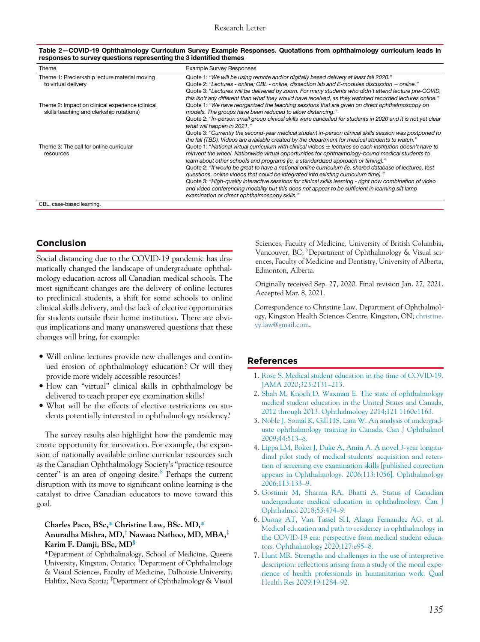| Quote 1: "We will be using remote and/or digitally based delivery at least fall 2020."<br>Quote 2: "Lectures - online: CBL - online, dissection lab and E-modules discussion - online."<br>Quote 3: "Lectures will be delivered by zoom. For many students who didn't attend lecture pre-COVID,<br>this isn't any different than what they would have received, as they watched recorded lectures online."<br>Quote 1: "We have reorganized the teaching sessions that are given on direct ophthalmoscopy on<br>models. The groups have been reduced to allow distancing."<br>Quote 2: "In-person small group clinical skills were cancelled for students in 2020 and it is not yet clear |
|-------------------------------------------------------------------------------------------------------------------------------------------------------------------------------------------------------------------------------------------------------------------------------------------------------------------------------------------------------------------------------------------------------------------------------------------------------------------------------------------------------------------------------------------------------------------------------------------------------------------------------------------------------------------------------------------|
|                                                                                                                                                                                                                                                                                                                                                                                                                                                                                                                                                                                                                                                                                           |
|                                                                                                                                                                                                                                                                                                                                                                                                                                                                                                                                                                                                                                                                                           |
| what will happen in 2021."                                                                                                                                                                                                                                                                                                                                                                                                                                                                                                                                                                                                                                                                |
| Quote 3: "Currently the second-year medical student in-person clinical skills session was postponed to<br>the fall (TBD). Videos are available created by the department for medical students to watch."                                                                                                                                                                                                                                                                                                                                                                                                                                                                                  |
| Quote 1: "National virtual curriculum with clinical videos $+$ lectures so each institution doesn't have to<br>reinvent the wheel. Nationwide virtual opportunities for ophthalmology-bound medical students to<br>learn about other schools and programs (ie, a standardized approach or timing)."                                                                                                                                                                                                                                                                                                                                                                                       |
| Quote 2: "It would be great to have a national online curriculum (ie, shared database of lectures, test<br>questions, online videos that could be integrated into existing curriculum time)."                                                                                                                                                                                                                                                                                                                                                                                                                                                                                             |
| Quote 3: "High-quality interactive sessions for clinical skills learning - right now combination of video<br>and video conferencing modality but this does not appear to be sufficient in learning slit lamp<br>examination or direct ophthalmoscopy skills."                                                                                                                                                                                                                                                                                                                                                                                                                             |
|                                                                                                                                                                                                                                                                                                                                                                                                                                                                                                                                                                                                                                                                                           |

<span id="page-1-5"></span>Table 2—COVID-19 Ophthalmology Curriculum Survey Example Responses. Quotations from ophthalmology curriculum leads in responses to survey questions representing the 3 identified themes

## Conclusion

Social distancing due to the COVID-19 pandemic has dramatically changed the landscape of undergraduate ophthalmology education across all Canadian medical schools. The most significant changes are the delivery of online lectures to preclinical students, a shift for some schools to online clinical skills delivery, and the lack of elective opportunities for students outside their home institution. There are obvious implications and many unanswered questions that these changes will bring, for example:

- Will online lectures provide new challenges and continued erosion of ophthalmology education? Or will they provide more widely accessible resources?
- <span id="page-1-1"></span><span id="page-1-0"></span> How can "virtual" clinical skills in ophthalmology be delivered to teach proper eye examination skills?
- What will be the effects of elective restrictions on students potentially interested in ophthalmology residency?

The survey results also highlight how the pandemic may create opportunity for innovation. For example, the expansion of nationally available online curricular resources such as the Canadian Ophthalmology Society's "practice resource center" is an area of ongoing desire.<sup>[8](#page-2-0)</sup> Perhaps the current disruption with its move to significant online learning is the catalyst to drive Canadian educators to move toward this goal.

### <span id="page-1-3"></span><span id="page-1-2"></span>Charles Paco, BSc,\* Christine Law, BSc. MD,\* Anuradha Mishra, MD,<sup>†</sup> Nawaaz Nathoo, MD, MBA,<sup>‡</sup> Karim F. Damji, BSc, MD§

<span id="page-1-4"></span>\*Department of Ophthalmology, School of Medicine, Queens University, Kingston, Ontario; <sup>†</sup>Department of Ophthalmology & Visual Sciences, Faculty of Medicine, Dalhousie University, Halifax, Nova Scotia; <sup>‡</sup>Department of Ophthalmology & Visual

Sciences, Faculty of Medicine, University of British Columbia, Vancouver, BC; <sup>§</sup>Department of Ophthalmology & Visual sciences, Faculty of Medicine and Dentistry, University of Alberta, Edmonton, Alberta.

Originally received Sep. 27, 2020. Final revision Jan. 27, 2021. Accepted Mar. 8, 2021.

Correspondence to Christine Law, Department of Ophthalmology, Kingston Health Sciences Centre, Kingston, ON; [christine.](mailto:christine.yy.law@gmail.com) [yy.law@gmail.com.](mailto:christine.yy.law@gmail.com)

### References

- 1. [Rose S. Medical student education in the time of COVID-19.](http://refhub.elsevier.com/S0008-4182(21)00098-3/sbref0001) [JAMA 2020;323:2131](http://refhub.elsevier.com/S0008-4182(21)00098-3/sbref0001)–213.
- 2. [Shah M, Knoch D, Waxman E. The state of ophthalmology](http://refhub.elsevier.com/S0008-4182(21)00098-3/sbref0002) [medical student education in the United States and Canada,](http://refhub.elsevier.com/S0008-4182(21)00098-3/sbref0002) [2012 through 2013. Ophthalmology 2014;121 1160e1163.](http://refhub.elsevier.com/S0008-4182(21)00098-3/sbref0002)
- 3. [Noble J, Somal K, Gill HS, Lam W. An analysis of undergrad](http://refhub.elsevier.com/S0008-4182(21)00098-3/sbref0003)[uate ophthalmology training in Canada. Can J Ophthalmol](http://refhub.elsevier.com/S0008-4182(21)00098-3/sbref0003) [2009;44:513](http://refhub.elsevier.com/S0008-4182(21)00098-3/sbref0003)–8.
- 4. [Lippa LM, Boker J, Duke A, Amin A. A novel 3-year longitu](http://refhub.elsevier.com/S0008-4182(21)00098-3/sbref0004)[dinal pilot study of medical students' acquisition and reten](http://refhub.elsevier.com/S0008-4182(21)00098-3/sbref0004)[tion of screening eye examination skills \[published correction](http://refhub.elsevier.com/S0008-4182(21)00098-3/sbref0004) [appears in Ophthalmology. 2006;113:1056\]. Ophthalmology](http://refhub.elsevier.com/S0008-4182(21)00098-3/sbref0004) [2006;113:133](http://refhub.elsevier.com/S0008-4182(21)00098-3/sbref0004)–9.
- 5. [Gostimir M, Sharma RA, Bhatti A. Status of Canadian](http://refhub.elsevier.com/S0008-4182(21)00098-3/sbref0005) [undergraduate medical education in ophthalmology. Can J](http://refhub.elsevier.com/S0008-4182(21)00098-3/sbref0005) [Ophthalmol 2018;53:474](http://refhub.elsevier.com/S0008-4182(21)00098-3/sbref0005)–9.
- 6. [Duong AT, Van Tassel SH, Alzaga Fernandez AG, et al.](http://refhub.elsevier.com/S0008-4182(21)00098-3/sbref0006) [Medical education and path to residency in ophthalmology in](http://refhub.elsevier.com/S0008-4182(21)00098-3/sbref0006) [the COVID-19 era: perspective from medical student educa](http://refhub.elsevier.com/S0008-4182(21)00098-3/sbref0006)[tors. Ophthalmology 2020;127:e95](http://refhub.elsevier.com/S0008-4182(21)00098-3/sbref0006)–8.
- 7. [Hunt MR. Strengths and challenges in the use of interpretive](http://refhub.elsevier.com/S0008-4182(21)00098-3/sbref0007) description: refl[ections arising from a study of the moral expe](http://refhub.elsevier.com/S0008-4182(21)00098-3/sbref0007)[rience of health professionals in humanitarian work. Qual](http://refhub.elsevier.com/S0008-4182(21)00098-3/sbref0007) [Health Res 2009;19:1284](http://refhub.elsevier.com/S0008-4182(21)00098-3/sbref0007)–92.